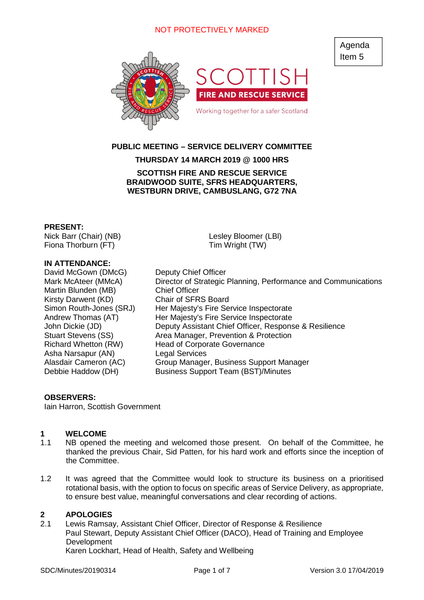# NOT PROTECTIVELY MARKED





# **PUBLIC MEETING – SERVICE DELIVERY COMMITTEE**

# **THURSDAY 14 MARCH 2019 @ 1000 HRS**

### **SCOTTISH FIRE AND RESCUE SERVICE BRAIDWOOD SUITE, SFRS HEADQUARTERS, WESTBURN DRIVE, CAMBUSLANG, G72 7NA**

#### **PRESENT:**

Nick Barr (Chair) (NB) Fiona Thorburn (FT)

### **IN ATTENDANCE:**

David McGown (DMcG) Deputy Chief Officer Martin Blunden (MB) Chief Officer Kirsty Darwent (KD) Chair of SFRS Board Asha Narsapur (AN) Legal Services

Lesley Bloomer (LBl) Tim Wright (TW)

Mark McAteer (MMcA) Director of Strategic Planning, Performance and Communications Simon Routh-Jones (SRJ) Her Majesty's Fire Service Inspectorate Andrew Thomas (AT) Her Majesty's Fire Service Inspectorate John Dickie (JD) Deputy Assistant Chief Officer, Response & Resilience Stuart Stevens (SS) Area Manager, Prevention & Protection Richard Whetton (RW) Head of Corporate Governance Alasdair Cameron (AC) Group Manager, Business Support Manager Debbie Haddow (DH) Business Support Team (BST)/Minutes

#### **OBSERVERS:**

Iain Harron, Scottish Government

#### **1 WELCOME**

- 1.1 NB opened the meeting and welcomed those present. On behalf of the Committee, he thanked the previous Chair, Sid Patten, for his hard work and efforts since the inception of the Committee.
- 1.2 It was agreed that the Committee would look to structure its business on a prioritised rotational basis, with the option to focus on specific areas of Service Delivery, as appropriate, to ensure best value, meaningful conversations and clear recording of actions.

### **2 APOLOGIES**

2.1 Lewis Ramsay, Assistant Chief Officer, Director of Response & Resilience Paul Stewart, Deputy Assistant Chief Officer (DACO), Head of Training and Employee Development Karen Lockhart, Head of Health, Safety and Wellbeing

SDC/Minutes/20190314 Page 1 of 7 Version 3.0 17/04/2019

Agenda Item 5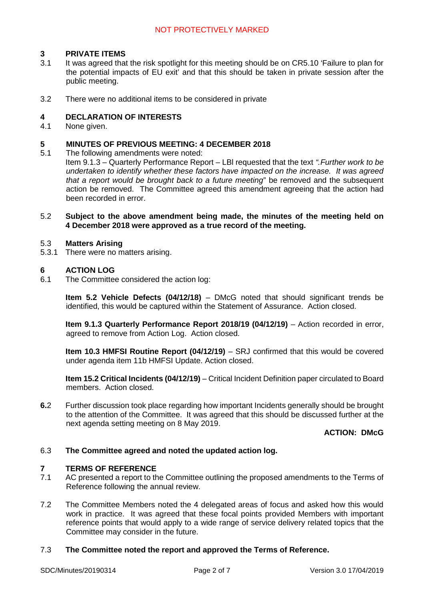# **3 PRIVATE ITEMS**

- 3.1 It was agreed that the risk spotlight for this meeting should be on CR5.10 'Failure to plan for the potential impacts of EU exit' and that this should be taken in private session after the public meeting.
- 3.2 There were no additional items to be considered in private

### **4 DECLARATION OF INTERESTS**

4.1 None given.

#### **5 MINUTES OF PREVIOUS MEETING: 4 DECEMBER 2018**

5.1 The following amendments were noted:

Item 9.1.3 – Quarterly Performance Report – LBl requested that the text *".Further work to be undertaken to identify whether these factors have impacted on the increase. It was agreed that a report would be brought back to a future meeting*" be removed and the subsequent action be removed. The Committee agreed this amendment agreeing that the action had been recorded in error.

#### 5.2 **Subject to the above amendment being made, the minutes of the meeting held on 4 December 2018 were approved as a true record of the meeting.**

#### 5.3 **Matters Arising**

5.3.1 There were no matters arising.

### **6 ACTION LOG**

6.1 The Committee considered the action log:

**Item 5.2 Vehicle Defects (04/12/18)** – DMcG noted that should significant trends be identified, this would be captured within the Statement of Assurance. Action closed.

**Item 9.1.3 Quarterly Performance Report 2018/19 (04/12/19)** – Action recorded in error, agreed to remove from Action Log. Action closed.

**Item 10.3 HMFSI Routine Report (04/12/19)** – SRJ confirmed that this would be covered under agenda item 11b HMFSI Update. Action closed.

**Item 15.2 Critical Incidents (04/12/19)** – Critical Incident Definition paper circulated to Board members. Action closed.

**6.**2 Further discussion took place regarding how important Incidents generally should be brought to the attention of the Committee. It was agreed that this should be discussed further at the next agenda setting meeting on 8 May 2019.

# **ACTION: DMcG**

#### 6.3 **The Committee agreed and noted the updated action log.**

#### **7 TERMS OF REFERENCE**

- 7.1 AC presented a report to the Committee outlining the proposed amendments to the Terms of Reference following the annual review.
- 7.2 The Committee Members noted the 4 delegated areas of focus and asked how this would work in practice. It was agreed that these focal points provided Members with important reference points that would apply to a wide range of service delivery related topics that the Committee may consider in the future.

#### 7.3 **The Committee noted the report and approved the Terms of Reference.**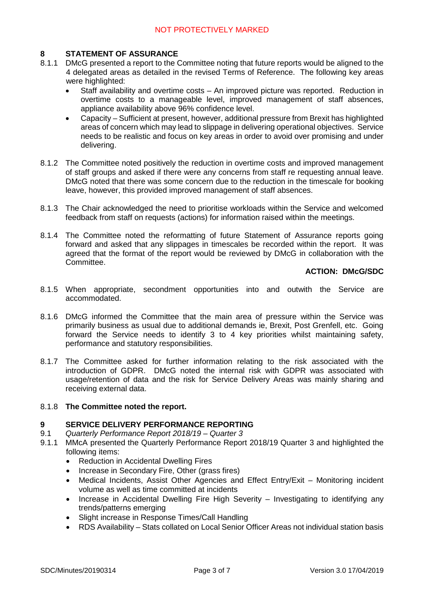# **8 STATEMENT OF ASSURANCE**

- 8.1.1 DMcG presented a report to the Committee noting that future reports would be aligned to the 4 delegated areas as detailed in the revised Terms of Reference. The following key areas were highlighted:
	- Staff availability and overtime costs An improved picture was reported. Reduction in overtime costs to a manageable level, improved management of staff absences, appliance availability above 96% confidence level.
	- Capacity Sufficient at present, however, additional pressure from Brexit has highlighted areas of concern which may lead to slippage in delivering operational objectives. Service needs to be realistic and focus on key areas in order to avoid over promising and under delivering.
- 8.1.2 The Committee noted positively the reduction in overtime costs and improved management of staff groups and asked if there were any concerns from staff re requesting annual leave. DMcG noted that there was some concern due to the reduction in the timescale for booking leave, however, this provided improved management of staff absences.
- 8.1.3 The Chair acknowledged the need to prioritise workloads within the Service and welcomed feedback from staff on requests (actions) for information raised within the meetings.
- 8.1.4 The Committee noted the reformatting of future Statement of Assurance reports going forward and asked that any slippages in timescales be recorded within the report. It was agreed that the format of the report would be reviewed by DMcG in collaboration with the Committee.

# **ACTION: DMcG/SDC**

- 8.1.5 When appropriate, secondment opportunities into and outwith the Service are accommodated.
- 8.1.6 DMcG informed the Committee that the main area of pressure within the Service was primarily business as usual due to additional demands ie, Brexit, Post Grenfell, etc. Going forward the Service needs to identify 3 to 4 key priorities whilst maintaining safety, performance and statutory responsibilities.
- 8.1.7 The Committee asked for further information relating to the risk associated with the introduction of GDPR. DMcG noted the internal risk with GDPR was associated with usage/retention of data and the risk for Service Delivery Areas was mainly sharing and receiving external data.

# 8.1.8 **The Committee noted the report.**

# **9 SERVICE DELIVERY PERFORMANCE REPORTING**

- 9.1 *Quarterly Performance Report 2018/19 Quarter 3*
- 9.1.1 MMcA presented the Quarterly Performance Report 2018/19 Quarter 3 and highlighted the following items:
	- Reduction in Accidental Dwelling Fires
	- Increase in Secondary Fire, Other (grass fires)
	- Medical Incidents, Assist Other Agencies and Effect Entry/Exit Monitoring incident volume as well as time committed at incidents
	- Increase in Accidental Dwelling Fire High Severity Investigating to identifying any trends/patterns emerging
	- Slight increase in Response Times/Call Handling
	- RDS Availability Stats collated on Local Senior Officer Areas not individual station basis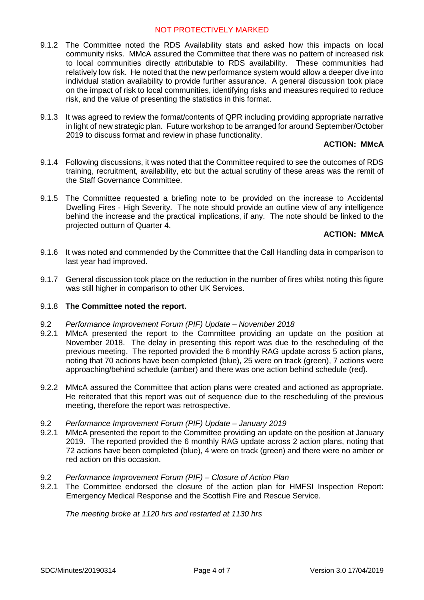# NOT PROTECTIVELY MARKED

- 9.1.2 The Committee noted the RDS Availability stats and asked how this impacts on local community risks. MMcA assured the Committee that there was no pattern of increased risk to local communities directly attributable to RDS availability. These communities had relatively low risk. He noted that the new performance system would allow a deeper dive into individual station availability to provide further assurance. A general discussion took place on the impact of risk to local communities, identifying risks and measures required to reduce risk, and the value of presenting the statistics in this format.
- 9.1.3 It was agreed to review the format/contents of QPR including providing appropriate narrative in light of new strategic plan. Future workshop to be arranged for around September/October 2019 to discuss format and review in phase functionality.

### **ACTION: MMcA**

- 9.1.4 Following discussions, it was noted that the Committee required to see the outcomes of RDS training, recruitment, availability, etc but the actual scrutiny of these areas was the remit of the Staff Governance Committee.
- 9.1.5 The Committee requested a briefing note to be provided on the increase to Accidental Dwelling Fires - High Severity. The note should provide an outline view of any intelligence behind the increase and the practical implications, if any. The note should be linked to the projected outturn of Quarter 4.

### **ACTION: MMcA**

- 9.1.6 It was noted and commended by the Committee that the Call Handling data in comparison to last year had improved.
- 9.1.7 General discussion took place on the reduction in the number of fires whilst noting this figure was still higher in comparison to other UK Services.

#### 9.1.8 **The Committee noted the report.**

- 9.2 *Performance Improvement Forum (PIF) Update November 2018*
- 9.2.1 MMcA presented the report to the Committee providing an update on the position at November 2018. The delay in presenting this report was due to the rescheduling of the previous meeting. The reported provided the 6 monthly RAG update across 5 action plans, noting that 70 actions have been completed (blue), 25 were on track (green), 7 actions were approaching/behind schedule (amber) and there was one action behind schedule (red).
- 9.2.2 MMcA assured the Committee that action plans were created and actioned as appropriate. He reiterated that this report was out of sequence due to the rescheduling of the previous meeting, therefore the report was retrospective.
- 9.2 *Performance Improvement Forum (PIF) Update January 2019*
- 9.2.1 MMcA presented the report to the Committee providing an update on the position at January 2019. The reported provided the 6 monthly RAG update across 2 action plans, noting that 72 actions have been completed (blue), 4 were on track (green) and there were no amber or red action on this occasion.
- 9.2 *Performance Improvement Forum (PIF) Closure of Action Plan*
- 9.2.1 The Committee endorsed the closure of the action plan for HMFSI Inspection Report: Emergency Medical Response and the Scottish Fire and Rescue Service.

*The meeting broke at 1120 hrs and restarted at 1130 hrs*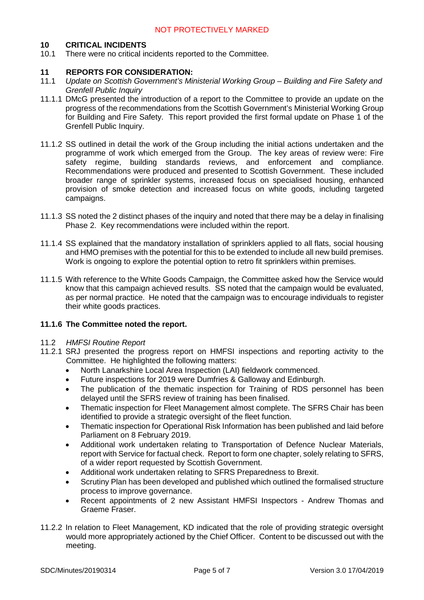# **10 CRITICAL INCIDENTS**

10.1 There were no critical incidents reported to the Committee.

### **11 REPORTS FOR CONSIDERATION:**

- 11.1 *Update on Scottish Government's Ministerial Working Group Building and Fire Safety and Grenfell Public Inquiry*
- 11.1.1 DMcG presented the introduction of a report to the Committee to provide an update on the progress of the recommendations from the Scottish Government's Ministerial Working Group for Building and Fire Safety. This report provided the first formal update on Phase 1 of the Grenfell Public Inquiry.
- 11.1.2 SS outlined in detail the work of the Group including the initial actions undertaken and the programme of work which emerged from the Group. The key areas of review were: Fire safety regime, building standards reviews, and enforcement and compliance. Recommendations were produced and presented to Scottish Government. These included broader range of sprinkler systems, increased focus on specialised housing, enhanced provision of smoke detection and increased focus on white goods, including targeted campaigns.
- 11.1.3 SS noted the 2 distinct phases of the inquiry and noted that there may be a delay in finalising Phase 2. Key recommendations were included within the report.
- 11.1.4 SS explained that the mandatory installation of sprinklers applied to all flats, social housing and HMO premises with the potential for this to be extended to include all new build premises. Work is ongoing to explore the potential option to retro fit sprinklers within premises.
- 11.1.5 With reference to the White Goods Campaign, the Committee asked how the Service would know that this campaign achieved results. SS noted that the campaign would be evaluated, as per normal practice. He noted that the campaign was to encourage individuals to register their white goods practices.

### **11.1.6 The Committee noted the report.**

#### 11.2 *HMFSI Routine Report*

- 11.2.1 SRJ presented the progress report on HMFSI inspections and reporting activity to the Committee. He highlighted the following matters:
	- North Lanarkshire Local Area Inspection (LAI) fieldwork commenced.
	- Future inspections for 2019 were Dumfries & Galloway and Edinburgh.
	- The publication of the thematic inspection for Training of RDS personnel has been delayed until the SFRS review of training has been finalised.
	- Thematic inspection for Fleet Management almost complete. The SFRS Chair has been identified to provide a strategic oversight of the fleet function.
	- Thematic inspection for Operational Risk Information has been published and laid before Parliament on 8 February 2019.
	- Additional work undertaken relating to Transportation of Defence Nuclear Materials, report with Service for factual check. Report to form one chapter, solely relating to SFRS, of a wider report requested by Scottish Government.
	- Additional work undertaken relating to SFRS Preparedness to Brexit.
	- Scrutiny Plan has been developed and published which outlined the formalised structure process to improve governance.
	- Recent appointments of 2 new Assistant HMFSI Inspectors Andrew Thomas and Graeme Fraser.
- 11.2.2 In relation to Fleet Management, KD indicated that the role of providing strategic oversight would more appropriately actioned by the Chief Officer. Content to be discussed out with the meeting.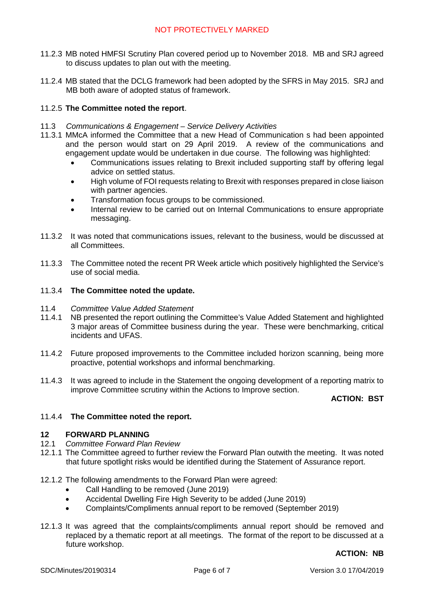- 11.2.3 MB noted HMFSI Scrutiny Plan covered period up to November 2018. MB and SRJ agreed to discuss updates to plan out with the meeting.
- 11.2.4 MB stated that the DCLG framework had been adopted by the SFRS in May 2015. SRJ and MB both aware of adopted status of framework.

# 11.2.5 **The Committee noted the report**.

- 11.3 *Communications & Engagement Service Delivery Activities*
- 11.3.1 MMcA informed the Committee that a new Head of Communication s had been appointed and the person would start on 29 April 2019. A review of the communications and engagement update would be undertaken in due course. The following was highlighted:
	- Communications issues relating to Brexit included supporting staff by offering legal advice on settled status.
	- High volume of FOI requests relating to Brexit with responses prepared in close liaison with partner agencies.
	- Transformation focus groups to be commissioned.
	- Internal review to be carried out on Internal Communications to ensure appropriate messaging.
- 11.3.2 It was noted that communications issues, relevant to the business, would be discussed at all Committees.
- 11.3.3 The Committee noted the recent PR Week article which positively highlighted the Service's use of social media.

### 11.3.4 **The Committee noted the update.**

- 11.4 *Committee Value Added Statement*
- 11.4.1 NB presented the report outlining the Committee's Value Added Statement and highlighted 3 major areas of Committee business during the year. These were benchmarking, critical incidents and UFAS.
- 11.4.2 Future proposed improvements to the Committee included horizon scanning, being more proactive, potential workshops and informal benchmarking.
- 11.4.3 It was agreed to include in the Statement the ongoing development of a reporting matrix to improve Committee scrutiny within the Actions to Improve section.

# **ACTION: BST**

# 11.4.4 **The Committee noted the report.**

### **12 FORWARD PLANNING**

- 12.1 *Committee Forward Plan Review*
- 12.1.1 The Committee agreed to further review the Forward Plan outwith the meeting. It was noted that future spotlight risks would be identified during the Statement of Assurance report.
- 12.1.2 The following amendments to the Forward Plan were agreed:
	- Call Handling to be removed (June 2019)
	- Accidental Dwelling Fire High Severity to be added (June 2019)
	- Complaints/Compliments annual report to be removed (September 2019)
- 12.1.3 It was agreed that the complaints/compliments annual report should be removed and replaced by a thematic report at all meetings. The format of the report to be discussed at a future workshop.